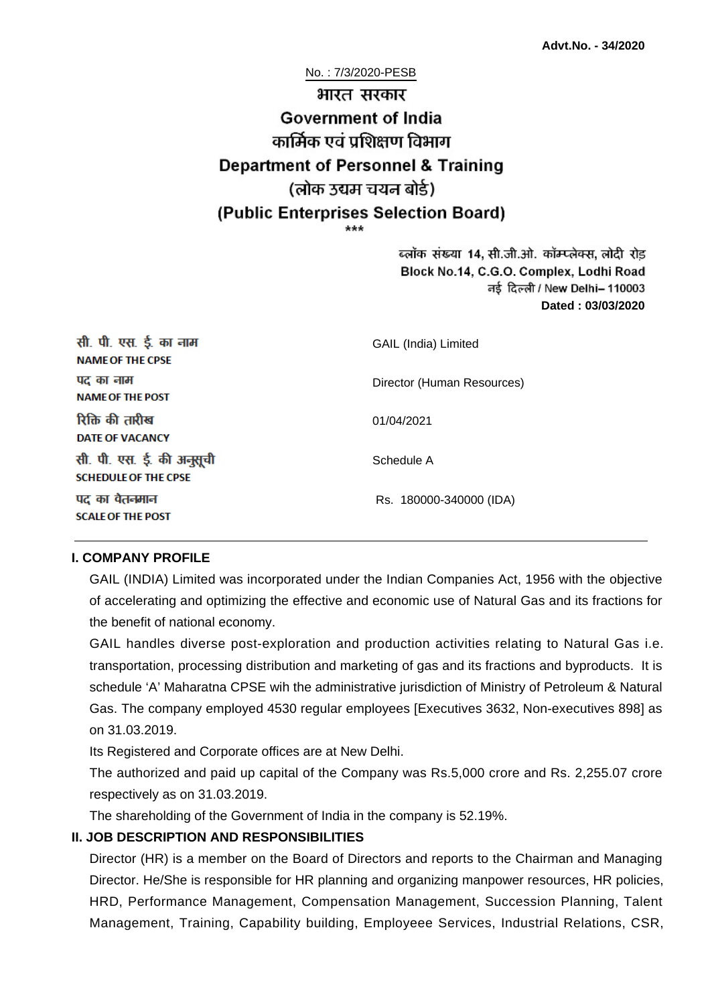No. : 7/3/2020-PESB भारत सरकार **Government of India** कार्मिक एवं पशिक्षण विभाग **Department of Personnel & Training** (लोक उद्यम चयन बोर्ड) (Public Enterprises Selection Board)

> ब्लॉक संख्या 14, सी.जी.ओ. कॉम्प्लेक्स, लोदी रोड Block No.14, C.G.O. Complex, Lodhi Road ਰई दिल्ली / New Delhi– 110003 **Dated : 03/03/2020**

| सी. पी. एस. ई. का नाम<br><b>NAME OF THE CPSE</b>         | GAIL (India) Limited       |
|----------------------------------------------------------|----------------------------|
| पद का नाम<br><b>NAME OF THE POST</b>                     | Director (Human Resources) |
| रिक्ति की तारीख<br>DATE OF VACANCY                       | 01/04/2021                 |
| सी. पी. एस. ई. की अनुसूची<br><b>SCHEDULE OF THE CPSE</b> | Schedule A                 |
| पद का वेतनमान<br><b>SCALE OF THE POST</b>                | Rs. 180000-340000 (IDA)    |

#### **I. COMPANY PROFILE**

GAIL (INDIA) Limited was incorporated under the Indian Companies Act, 1956 with the objective of accelerating and optimizing the effective and economic use of Natural Gas and its fractions for the benefit of national economy.

GAIL handles diverse post-exploration and production activities relating to Natural Gas i.e. transportation, processing distribution and marketing of gas and its fractions and byproducts. It is schedule 'A' Maharatna CPSE wih the administrative jurisdiction of Ministry of Petroleum & Natural Gas. The company employed 4530 regular employees [Executives 3632, Non-executives 898] as on 31.03.2019.

Its Registered and Corporate offices are at New Delhi.

The authorized and paid up capital of the Company was Rs.5,000 crore and Rs. 2,255.07 crore respectively as on 31.03.2019.

The shareholding of the Government of India in the company is 52.19%.

### **II. JOB DESCRIPTION AND RESPONSIBILITIES**

Director (HR) is a member on the Board of Directors and reports to the Chairman and Managing Director. He/She is responsible for HR planning and organizing manpower resources, HR policies, HRD, Performance Management, Compensation Management, Succession Planning, Talent Management, Training, Capability building, Employeee Services, Industrial Relations, CSR,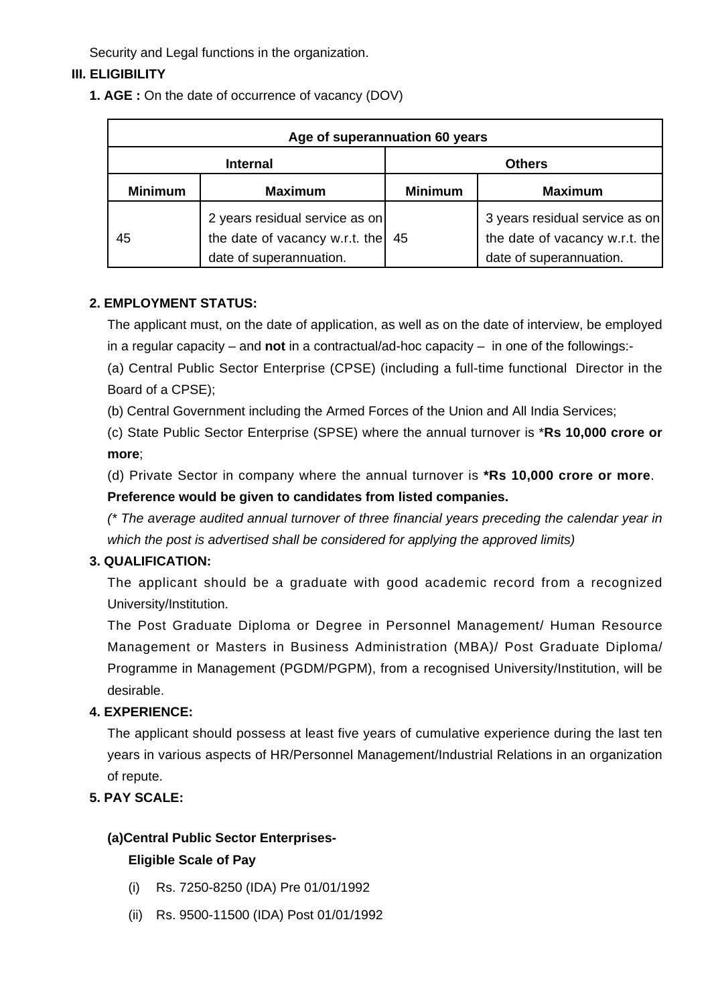Security and Legal functions in the organization.

# **III. ELIGIBILITY**

**1. AGE :** On the date of occurrence of vacancy (DOV)

| Age of superannuation 60 years |                                                                                             |                |                                                                                             |
|--------------------------------|---------------------------------------------------------------------------------------------|----------------|---------------------------------------------------------------------------------------------|
| <b>Internal</b>                |                                                                                             | <b>Others</b>  |                                                                                             |
| <b>Minimum</b>                 | <b>Maximum</b>                                                                              | <b>Minimum</b> | <b>Maximum</b>                                                                              |
| 45                             | 2 years residual service as on<br>the date of vacancy w.r.t. the<br>date of superannuation. | 45             | 3 years residual service as on<br>the date of vacancy w.r.t. the<br>date of superannuation. |

### **2. EMPLOYMENT STATUS:**

The applicant must, on the date of application, as well as on the date of interview, be employed in a regular capacity – and **not** in a contractual/ad-hoc capacity – in one of the followings:-

(a) Central Public Sector Enterprise (CPSE) (including a full-time functional Director in the Board of a CPSE);

(b) Central Government including the Armed Forces of the Union and All India Services;

(c) State Public Sector Enterprise (SPSE) where the annual turnover is \***Rs 10,000 crore or more**;

(d) Private Sector in company where the annual turnover is **\*Rs 10,000 crore or more**. **Preference would be given to candidates from listed companies.**

(\* The average audited annual turnover of three financial years preceding the calendar year in which the post is advertised shall be considered for applying the approved limits)

# **3. QUALIFICATION:**

The applicant should be a graduate with good academic record from a recognized University/Institution.

The Post Graduate Diploma or Degree in Personnel Management/ Human Resource Management or Masters in Business Administration (MBA)/ Post Graduate Diploma/ Programme in Management (PGDM/PGPM), from a recognised University/Institution, will be desirable.

# **4. EXPERIENCE:**

The applicant should possess at least five years of cumulative experience during the last ten years in various aspects of HR/Personnel Management/Industrial Relations in an organization of repute.

# **5. PAY SCALE:**

# **(a)Central Public Sector Enterprises-**

# **Eligible Scale of Pay**

- (i) Rs. 7250-8250 (IDA) Pre 01/01/1992
- (ii) Rs. 9500-11500 (IDA) Post 01/01/1992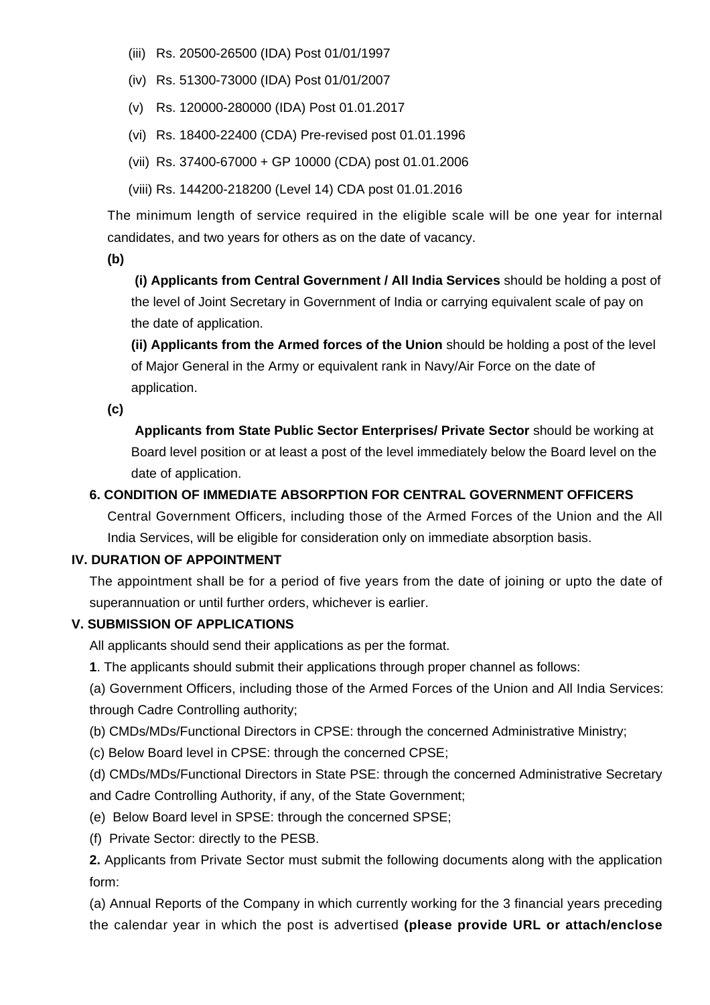- (iii) Rs. 20500-26500 (IDA) Post 01/01/1997
- (iv) Rs. 51300-73000 (IDA) Post 01/01/2007
- (v) Rs. 120000-280000 (IDA) Post 01.01.2017
- (vi) Rs. 18400-22400 (CDA) Pre-revised post 01.01.1996
- (vii) Rs. 37400-67000 + GP 10000 (CDA) post 01.01.2006
- (viii) Rs. 144200-218200 (Level 14) CDA post 01.01.2016

The minimum length of service required in the eligible scale will be one year for internal candidates, and two years for others as on the date of vacancy.

**(b)**

**(i) Applicants from Central Government / All India Services** should be holding a post of the level of Joint Secretary in Government of India or carrying equivalent scale of pay on the date of application.

**(ii) Applicants from the Armed forces of the Union** should be holding a post of the level of Major General in the Army or equivalent rank in Navy/Air Force on the date of application.

**(c)**

 **Applicants from State Public Sector Enterprises/ Private Sector** should be working at Board level position or at least a post of the level immediately below the Board level on the date of application.

#### **6. CONDITION OF IMMEDIATE ABSORPTION FOR CENTRAL GOVERNMENT OFFICERS**

Central Government Officers, including those of the Armed Forces of the Union and the All India Services, will be eligible for consideration only on immediate absorption basis.

#### **IV. DURATION OF APPOINTMENT**

The appointment shall be for a period of five years from the date of joining or upto the date of superannuation or until further orders, whichever is earlier.

#### **V. SUBMISSION OF APPLICATIONS**

All applicants should send their applications as per the format.

**1**. The applicants should submit their applications through proper channel as follows:

(a) Government Officers, including those of the Armed Forces of the Union and All India Services: through Cadre Controlling authority;

(b) CMDs/MDs/Functional Directors in CPSE: through the concerned Administrative Ministry;

(c) Below Board level in CPSE: through the concerned CPSE;

(d) CMDs/MDs/Functional Directors in State PSE: through the concerned Administrative Secretary and Cadre Controlling Authority, if any, of the State Government;

- (e) Below Board level in SPSE: through the concerned SPSE;
- (f) Private Sector: directly to the PESB.

**2.** Applicants from Private Sector must submit the following documents along with the application form:

(a) Annual Reports of the Company in which currently working for the 3 financial years preceding the calendar year in which the post is advertised **(please provide URL or attach/enclose**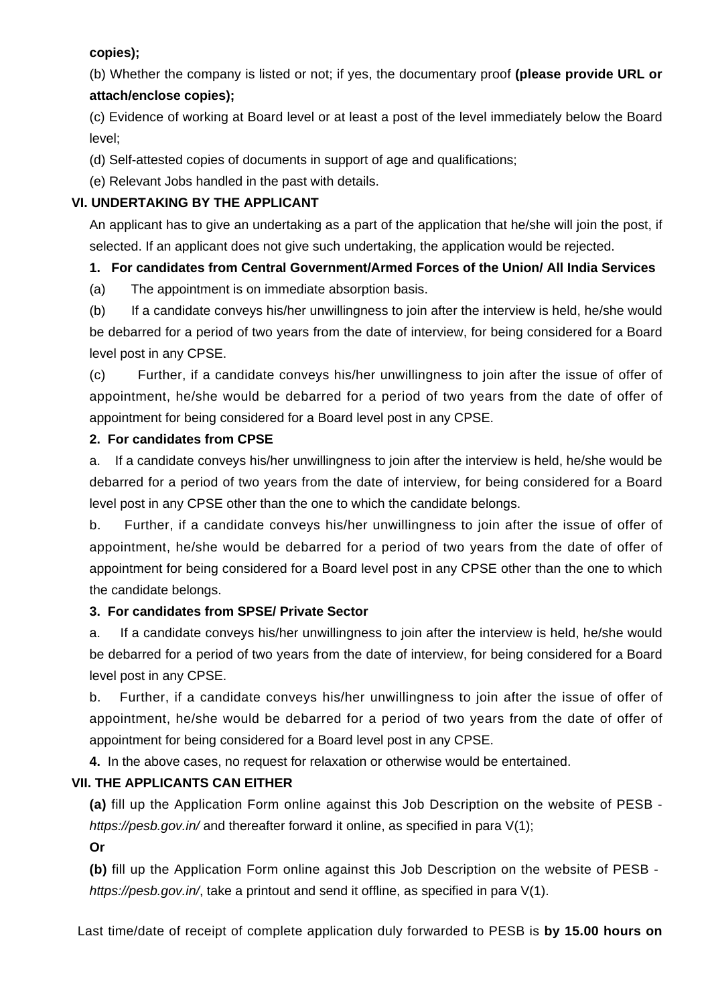### **copies);**

(b) Whether the company is listed or not; if yes, the documentary proof **(please provide URL or attach/enclose copies);**

(c) Evidence of working at Board level or at least a post of the level immediately below the Board level;

(d) Self-attested copies of documents in support of age and qualifications;

(e) Relevant Jobs handled in the past with details.

### **VI. UNDERTAKING BY THE APPLICANT**

An applicant has to give an undertaking as a part of the application that he/she will join the post, if selected. If an applicant does not give such undertaking, the application would be rejected.

# **1. For candidates from Central Government/Armed Forces of the Union/ All India Services**

(a) The appointment is on immediate absorption basis.

(b) If a candidate conveys his/her unwillingness to join after the interview is held, he/she would be debarred for a period of two years from the date of interview, for being considered for a Board level post in any CPSE.

(c) Further, if a candidate conveys his/her unwillingness to join after the issue of offer of appointment, he/she would be debarred for a period of two years from the date of offer of appointment for being considered for a Board level post in any CPSE.

### **2. For candidates from CPSE**

a. If a candidate conveys his/her unwillingness to join after the interview is held, he/she would be debarred for a period of two years from the date of interview, for being considered for a Board level post in any CPSE other than the one to which the candidate belongs.

b. Further, if a candidate conveys his/her unwillingness to join after the issue of offer of appointment, he/she would be debarred for a period of two years from the date of offer of appointment for being considered for a Board level post in any CPSE other than the one to which the candidate belongs.

# **3. For candidates from SPSE/ Private Sector**

a. If a candidate conveys his/her unwillingness to join after the interview is held, he/she would be debarred for a period of two years from the date of interview, for being considered for a Board level post in any CPSE.

b. Further, if a candidate conveys his/her unwillingness to join after the issue of offer of appointment, he/she would be debarred for a period of two years from the date of offer of appointment for being considered for a Board level post in any CPSE.

**4.** In the above cases, no request for relaxation or otherwise would be entertained.

# **VII. THE APPLICANTS CAN EITHER**

**(a)** fill up the Application Form online against this Job Description on the website of PESB https://pesb.gov.in/ and thereafter forward it online, as specified in para V(1);

**Or**

**(b)** fill up the Application Form online against this Job Description on the website of PESB https://pesb.gov.in/, take a printout and send it offline, as specified in para V(1).

Last time/date of receipt of complete application duly forwarded to PESB is **by 15.00 hours on**